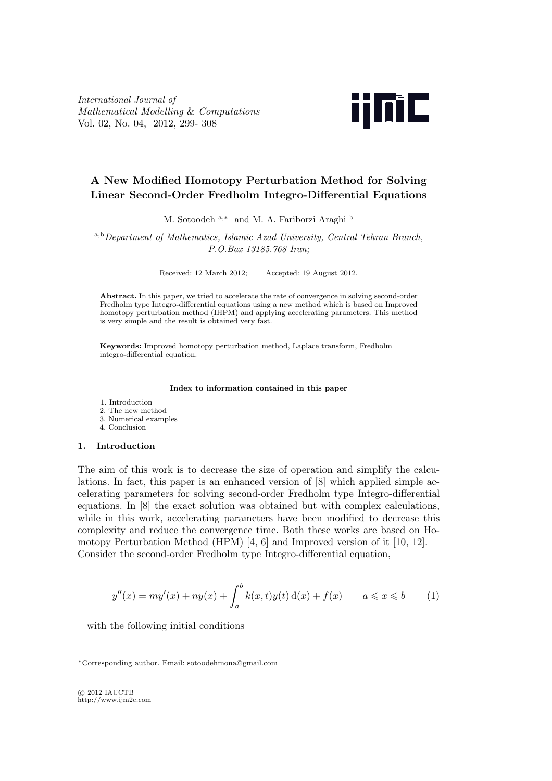*International Journal of Mathematical Modelling* & *Computations* Vol. 02, No. 04, 2012, 299- 308



# **A New Modified Homotopy Perturbation Method for Solving Linear Second-Order Fredholm Integro-Differential Equations**

M. Sotoodeh <sup>a</sup>*,<sup>∗</sup>* and M. A. Fariborzi Araghi <sup>b</sup>

<sup>a</sup>*,*<sup>b</sup>*Department of Mathematics, Islamic Azad University, Central Tehran Branch, P.O.Bax 13185.768 Iran;*

Received: 12 March 2012; Accepted: 19 August 2012.

**Abstract.** In this paper, we tried to accelerate the rate of convergence in solving second-order Fredholm type Integro-differential equations using a new method which is based on Improved homotopy perturbation method (IHPM) and applying accelerating parameters. This method is very simple and the result is obtained very fast.

**Keywords:** Improved homotopy perturbation method, Laplace transform, Fredholm integro-differential equation.

**Index to information contained in this paper**

- 1. Introduction
- 2. The new method
- 3. Numerical examples
- 4. Conclusion

## **1. Introduction**

The aim of this work is to decrease the size of operation and simplify the calculations. In fact, this paper is an enhanced version of [8] which applied simple accelerating parameters for solving second-order Fredholm type Integro-differential equations. In [8] the exact solution was obtained but with complex calculations, while in this work, accelerating parameters have been modified to decrease this complexity and reduce the convergence time. Both these works are based on Homotopy Perturbation Method (HPM) [4, 6] and Improved version of it [10, 12]. Consider the second-order Fredholm type Integro-differential equation,

$$
y''(x) = my'(x) + ny(x) + \int_{a}^{b} k(x, t)y(t) \,d(x) + f(x) \qquad a \le x \le b \tag{1}
$$

with the following initial conditions

*<sup>∗</sup>*Corresponding author. Email: sotoodehmona@gmail.com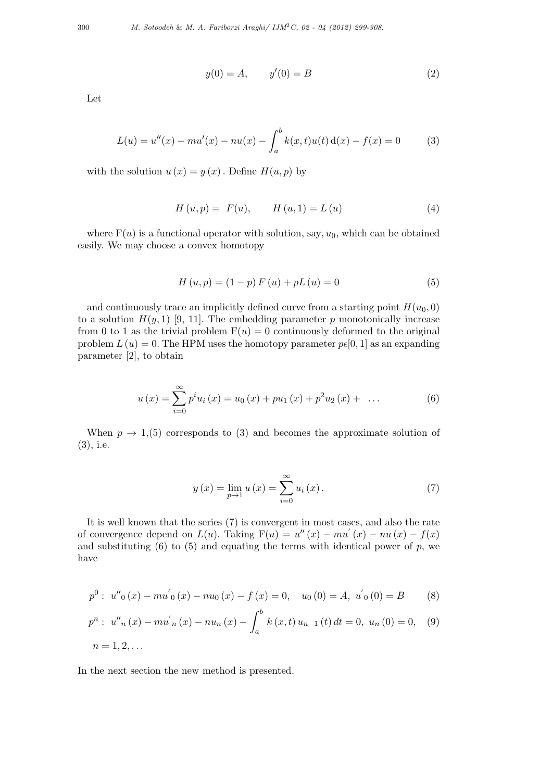$$
y(0) = A, \qquad y'(0) = B \tag{2}
$$

Let

$$
L(u) = u''(x) - mu'(x) - nu(x) - \int_a^b k(x, t)u(t) \,d(x) - f(x) = 0 \tag{3}
$$

with the solution  $u(x) = y(x)$ . Define  $H(u, p)$  by

$$
H(u, p) = F(u), \qquad H(u, 1) = L(u) \tag{4}
$$

where  $F(u)$  is a functional operator with solution, say,  $u_0$ , which can be obtained easily. We may choose a convex homotopy

$$
H(u, p) = (1 - p) F(u) + pL(u) = 0
$$
\n(5)

and continuously trace an implicitly defined curve from a starting point  $H(u_0, 0)$ to a solution  $H(y, 1)$  [9, 11]. The embedding parameter p monotonically increase from 0 to 1 as the trivial problem  $F(u) = 0$  continuously deformed to the original problem  $L(u) = 0$ . The HPM uses the homotopy parameter  $p\epsilon[0, 1]$  as an expanding parameter [2], to obtain

$$
u(x) = \sum_{i=0}^{\infty} p^i u_i(x) = u_0(x) + p u_1(x) + p^2 u_2(x) + \dots
$$
 (6)

When  $p \to 1,$ (5) corresponds to (3) and becomes the approximate solution of (3), i.e.

$$
y(x) = \lim_{p \to 1} u(x) = \sum_{i=0}^{\infty} u_i(x).
$$
 (7)

It is well known that the series (7) is convergent in most cases*,* and also the rate of convergence depend on  $L(u)$ . Taking  $F(u) = u''(x) - mu'(x) - nu(x) - f(x)$ and substituting  $(6)$  to  $(5)$  and equating the terms with identical power of p, we have

$$
p^{0}: u''_{0}(x) - mu'_{0}(x) - nu_{0}(x) - f(x) = 0, u_{0}(0) = A, u'_{0}(0) = B
$$
 (8)

$$
p^{n}: u''_{n}(x) - mu'_{n}(x) - nu_{n}(x) - \int_{a}^{b} k(x, t) u_{n-1}(t) dt = 0, u_{n}(0) = 0,
$$
 (9)  

$$
n = 1, 2, ...
$$

In the next section the new method is presented.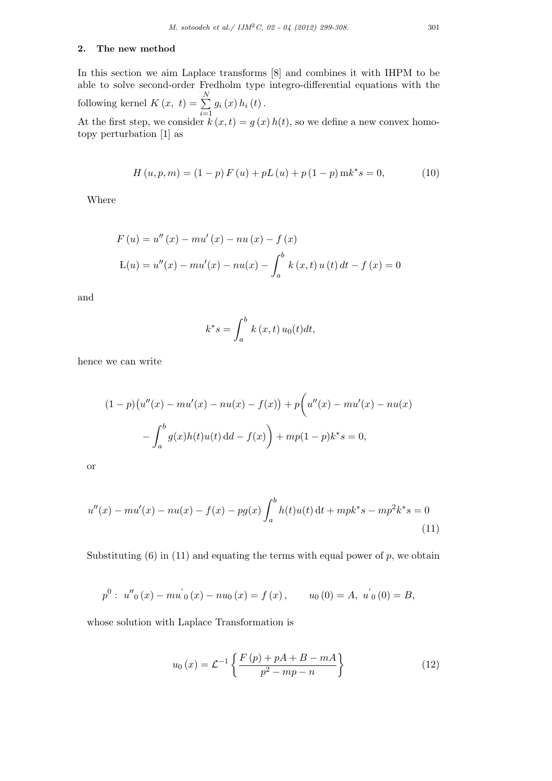### **2. The new method**

In this section we aim Laplace transforms [8] and combines it with IHPM to be able to solve second-order Fredholm type integro-differential equations with the following kernel  $K(x, t) = \sum_{i=1}^{N}$ *i*=1  $g_i(x) h_i(t)$ .

At the first step, we consider  $k(x, t) = g(x)h(t)$ , so we define a new convex homotopy perturbation [1] as

$$
H(u, p, m) = (1 - p) F(u) + pL(u) + p(1 - p) mk^* s = 0,
$$
\n(10)

Where

$$
F(u) = u''(x) - mu'(x) - nu(x) - f(x)
$$
  
\n
$$
L(u) = u''(x) - mu'(x) - nu(x) - \int_a^b k(x, t) u(t) dt - f(x) = 0
$$

and

$$
k^*s = \int_a^b k(x,t) u_0(t) dt,
$$

hence we can write

$$
(1-p)(u''(x) - mu'(x) - nu(x) - f(x)) + p(u''(x) - mu'(x) - nu(x)
$$

$$
- \int_a^b g(x)h(t)u(t) \, \mathrm{d}t - f(x) + mp(1-p)k^*s = 0,
$$

or

$$
u''(x) - mu'(x) - nu(x) - f(x) - pg(x) \int_a^b h(t)u(t) dt + mpk^*s - mp^2k^*s = 0
$$
\n(11)

Substituting  $(6)$  in  $(11)$  and equating the terms with equal power of  $p$ , we obtain

$$
p^{0}: u''_{0}(x) - mu'_{0}(x) - nu_{0}(x) = f(x), \t u_{0}(0) = A, u'_{0}(0) = B,
$$

whose solution with Laplace Transformation is

$$
u_0(x) = \mathcal{L}^{-1}\left\{\frac{F(p) + pA + B - mA}{p^2 - mp - n}\right\}
$$
\n
$$
(12)
$$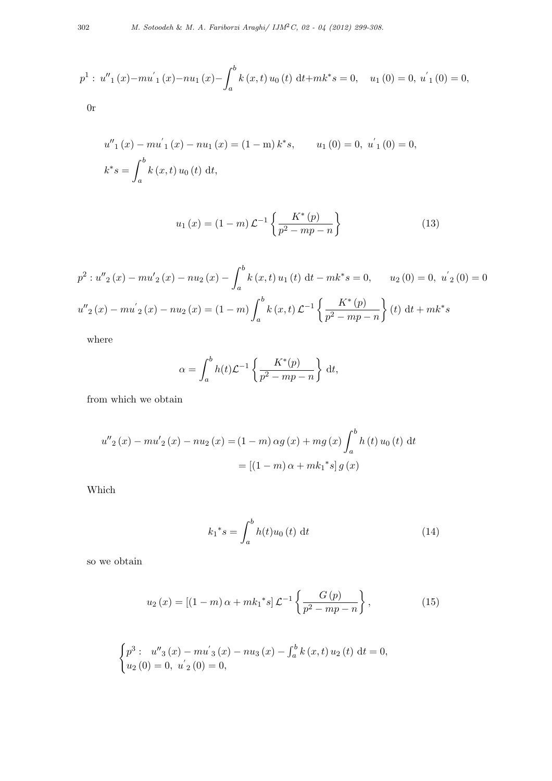$$
p^{1}: u''_{1}(x)-mu'_{1}(x)-nu_{1}(x)-\int_{a}^{b} k(x,t) u_{0}(t) dt + mk^{*} s = 0, \quad u_{1}(0) = 0, u'_{1}(0) = 0,
$$

0r

$$
u''_1(x) - mu'_1(x) - nu_1(x) = (1 - m) k^* s, \t u_1(0) = 0, u'_1(0) = 0,
$$
  

$$
k^* s = \int_a^b k(x, t) u_0(t) dt,
$$

$$
u_1(x) = (1 - m)\mathcal{L}^{-1}\left\{\frac{K^*(p)}{p^2 - mp - n}\right\}
$$
 (13)

$$
p^{2}: u''_{2}(x) - mu'_{2}(x) - nu_{2}(x) - \int_{a}^{b} k(x, t) u_{1}(t) dt - mk^{*} s = 0, \quad u_{2}(0) = 0, u'_{2}(0) = 0
$$
  

$$
u''_{2}(x) - mu'_{2}(x) - nu_{2}(x) = (1 - m) \int_{a}^{b} k(x, t) \mathcal{L}^{-1} \left\{ \frac{K^{*}(p)}{p^{2} - mp - n} \right\} (t) dt + mk^{*} s
$$

where

$$
\alpha = \int_a^b h(t) \mathcal{L}^{-1} \left\{ \frac{K^*(p)}{p^2 - mp - n} \right\} dt,
$$

from which we obtain

$$
u''_2(x) - mu'_2(x) - nu_2(x) = (1 - m) \alpha g(x) + mg(x) \int_a^b h(t) u_0(t) dt
$$
  
=  $[(1 - m) \alpha + mk_1^* s] g(x)$ 

Which

$$
k_1^* s = \int_a^b h(t) u_0(t) \, \mathrm{d}t \tag{14}
$$

so we obtain

$$
u_2(x) = [(1-m)\alpha + mk_1^*s] \mathcal{L}^{-1} \left\{ \frac{G(p)}{p^2 - mp - n} \right\},
$$
 (15)

$$
\begin{cases}\np^3: u''_3(x) - m u'_3(x) - n u_3(x) - \int_a^b k(x, t) u_2(t) dt = 0, \\
u_2(0) = 0, u'_2(0) = 0,\n\end{cases}
$$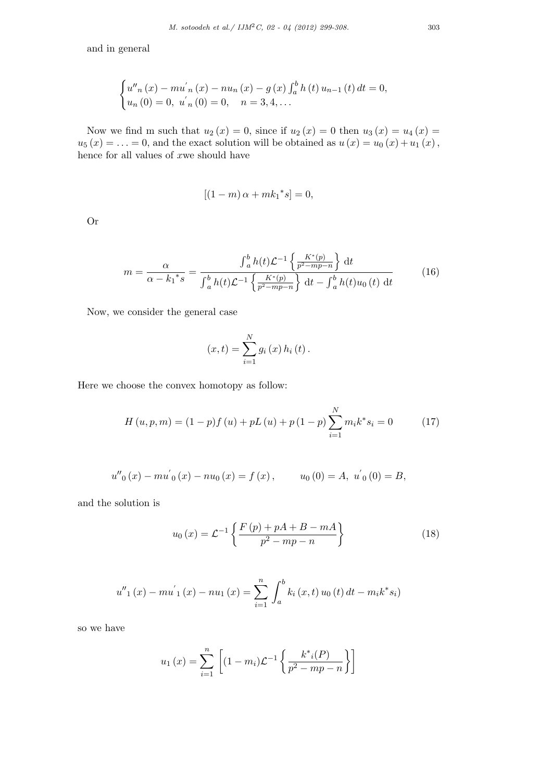and in general

$$
\begin{cases} u''_n(x) - mu'_n(x) - nu_n(x) - g(x) \int_a^b h(t) u_{n-1}(t) dt = 0, \\ u_n(0) = 0, u'_n(0) = 0, n = 3, 4, ... \end{cases}
$$

Now we find m such that  $u_2(x) = 0$ , since if  $u_2(x) = 0$  then  $u_3(x) = u_4(x) = 0$  $u_5(x) = \ldots = 0$ , and the exact solution will be obtained as  $u(x) = u_0(x) + u_1(x)$ , hence for all values of *x*we should have

$$
[(1-m)\,\alpha + mk_1^*s] = 0,
$$

Or

$$
m = \frac{\alpha}{\alpha - {k_1}^* s} = \frac{\int_a^b h(t) \mathcal{L}^{-1} \left\{ \frac{K^*(p)}{p^2 - mp - n} \right\} dt}{\int_a^b h(t) \mathcal{L}^{-1} \left\{ \frac{K^*(p)}{p^2 - mp - n} \right\} dt - \int_a^b h(t) u_0(t) dt}
$$
(16)

*x* 

Now, we consider the general case

$$
(x,t) = \sum_{i=1}^{N} g_i(x) h_i(t).
$$

Here we choose the convex homotopy as follow:

$$
H(u, p, m) = (1 - p)f(u) + pL(u) + p(1 - p)\sum_{i=1}^{N} m_i k^* s_i = 0
$$
 (17)

$$
u''_0(x) - m u'_0(x) - n u_0(x) = f(x), \t u_0(0) = A, \ u'_0(0) = B,
$$

and the solution is

$$
u_0(x) = \mathcal{L}^{-1}\left\{\frac{F(p) + pA + B - mA}{p^2 - mp - n}\right\}
$$
 (18)

$$
u''_1(x) - m u'_1(x) - n u_1(x) = \sum_{i=1}^n \int_a^b k_i(x, t) u_0(t) dt - m_i k^* s_i
$$

so we have

$$
u_1(x) = \sum_{i=1}^{n} \left[ (1 - m_i) \mathcal{L}^{-1} \left\{ \frac{k^*_{i}(P)}{p^2 - mp - n} \right\} \right]
$$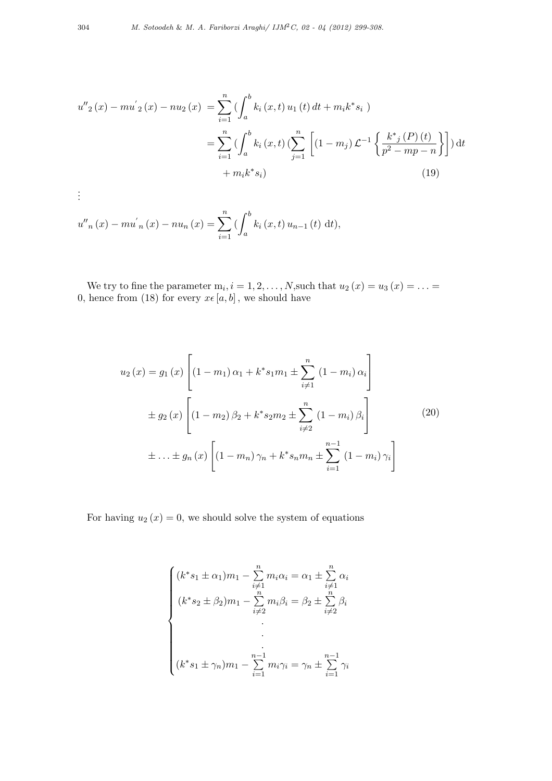$$
u''_2(x) - m u'_2(x) - n u_2(x) = \sum_{i=1}^n \left( \int_a^b k_i(x, t) u_1(t) dt + m_i k^* s_i \right)
$$
  

$$
= \sum_{i=1}^n \left( \int_a^b k_i(x, t) \left( \sum_{j=1}^n \left[ (1 - m_j) \mathcal{L}^{-1} \left\{ \frac{k^*_{j}(P)(t)}{p^2 - mp - n} \right\} \right] \right) dt + m_i k^* s_i
$$
(19)

$$
\vdots
$$

$$
u''_n(x) - m u'_{n}(x) - n u_{n}(x) = \sum_{i=1}^n \left( \int_a^b k_i(x, t) u_{n-1}(t) dt \right),
$$

We try to fine the parameter  $m_i$ ,  $i = 1, 2, \ldots, N$ , such that  $u_2(x) = u_3(x) = \ldots =$ 0, hence from (18) for every  $x \in [a, b]$ , we should have

$$
u_2(x) = g_1(x) \left[ (1 - m_1) \alpha_1 + k^* s_1 m_1 \pm \sum_{i \neq 1}^n (1 - m_i) \alpha_i \right]
$$
  

$$
\pm g_2(x) \left[ (1 - m_2) \beta_2 + k^* s_2 m_2 \pm \sum_{i \neq 2}^n (1 - m_i) \beta_i \right]
$$
  

$$
\pm \ldots \pm g_n(x) \left[ (1 - m_n) \gamma_n + k^* s_n m_n \pm \sum_{i=1}^{n-1} (1 - m_i) \gamma_i \right]
$$
  
(20)

For having  $u_2(x) = 0$ , we should solve the system of equations

$$
\begin{cases}\n(k^*s_1 \pm \alpha_1)m_1 - \sum_{i=1}^n m_i \alpha_i = \alpha_1 \pm \sum_{i=1}^n \alpha_i \\
(k^*s_2 \pm \beta_2)m_1 - \sum_{i=1}^n m_i \beta_i = \beta_2 \pm \sum_{i=1}^n \beta_i \\
\vdots \\
(k^*s_1 \pm \gamma_n)m_1 - \sum_{i=1}^{n-1} m_i \gamma_i = \gamma_n \pm \sum_{i=1}^{n-1} \gamma_i\n\end{cases}
$$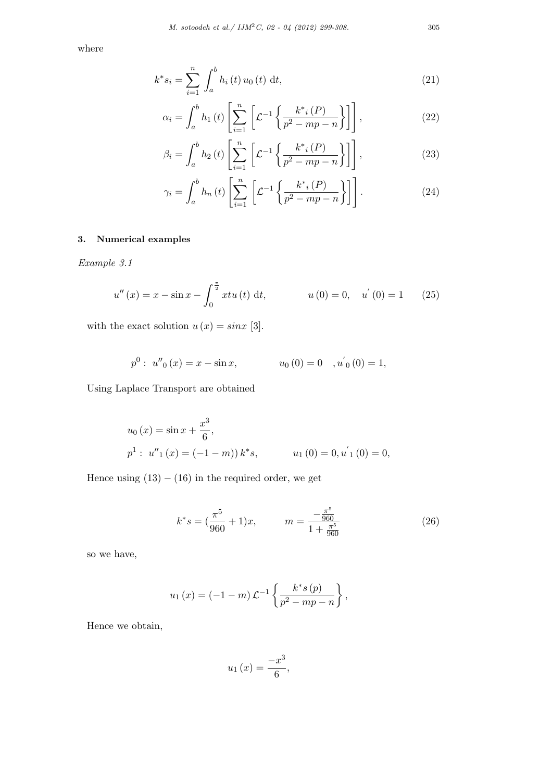where

$$
k^* s_i = \sum_{i=1}^n \int_a^b h_i(t) u_0(t) dt,
$$
\n(21)

$$
\alpha_{i} = \int_{a}^{b} h_{1}(t) \left[ \sum_{i=1}^{n} \left[ \mathcal{L}^{-1} \left\{ \frac{k^{*}_{i}(P)}{p^{2} - mp - n} \right\} \right] \right],
$$
 (22)

$$
\beta_{i} = \int_{a}^{b} h_{2}(t) \left[ \sum_{i=1}^{n} \left[ \mathcal{L}^{-1} \left\{ \frac{k^{*}_{i}(P)}{p^{2} - mp - n} \right\} \right] \right],
$$
 (23)

$$
\gamma_i = \int_a^b h_n(t) \left[ \sum_{i=1}^n \left[ \mathcal{L}^{-1} \left\{ \frac{k^*_{i}(P)}{p^2 - mp - n} \right\} \right] \right]. \tag{24}
$$

# **3. Numerical examples**

*Example 3.1*

$$
u''(x) = x - \sin x - \int_0^{\frac{\pi}{2}} x t u(t) dt, \qquad u(0) = 0, \quad u'(0) = 1 \qquad (25)
$$

with the exact solution  $u(x) = \sin x$  [3].

$$
p^{0}: u''_{0}(x) = x - \sin x,
$$
  $u_{0}(0) = 0, u'_{0}(0) = 1,$ 

Using Laplace Transport are obtained

$$
u_0(x) = \sin x + \frac{x^3}{6},
$$
  

$$
p^1: u''_1(x) = (-1 - m)) k^* s, \qquad u_1(0) = 0, u'_1(0) = 0,
$$

Hence using  $(13) - (16)$  in the required order, we get

$$
k^*s = \left(\frac{\pi^5}{960} + 1\right)x, \qquad m = \frac{-\frac{\pi^5}{960}}{1 + \frac{\pi^5}{960}}\tag{26}
$$

so we have,

$$
u_1(x) = (-1 - m) \mathcal{L}^{-1} \left\{ \frac{k^* s(p)}{p^2 - mp - n} \right\},\,
$$

Hence we obtain,

$$
u_1\left(x\right) = \frac{-x^3}{6},
$$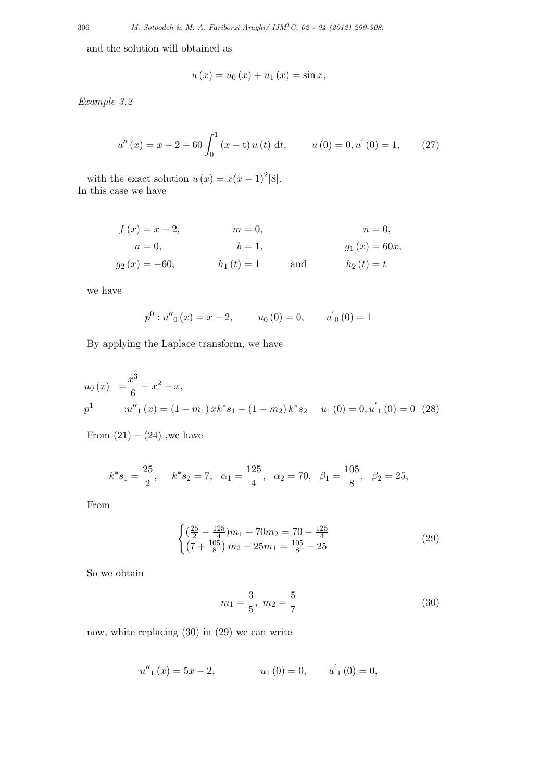and the solution will obtained as

$$
u(x) = u_0(x) + u_1(x) = \sin x,
$$

*Example 3.2*

$$
u''(x) = x - 2 + 60 \int_0^1 (x - t) u(t) dt, \qquad u(0) = 0, u'(0) = 1,
$$
 (27)

with the exact solution  $u(x) = x(x - 1)^{2}[8]$ . In this case we have

$$
f(x) = x - 2,
$$
  $m = 0,$   $n = 0,$   
\n $a = 0,$   $b = 1,$   $g_1(x) = 60x,$   
\n $g_2(x) = -60,$   $h_1(t) = 1$  and  $h_2(t) = t$ 

we have

$$
p^{0}: u''_{0}(x) = x - 2,
$$
  $u_{0}(0) = 0,$   $u'_{0}(0) = 1$ 

By applying the Laplace transform, we have

$$
u_0(x) = \frac{x^3}{6} - x^2 + x,
$$
  
\n
$$
p^1 \qquad :u''_1(x) = (1 - m_1) x k^* s_1 - (1 - m_2) k^* s_2 \qquad u_1(0) = 0, u'_1(0) = 0 \quad (28)
$$

From  $(21) - (24)$ , we have

$$
k^*s_1 = \frac{25}{2}
$$
,  $k^*s_2 = 7$ ,  $\alpha_1 = \frac{125}{4}$ ,  $\alpha_2 = 70$ ,  $\beta_1 = \frac{105}{8}$ ,  $\beta_2 = 25$ ,

From

$$
\begin{cases}\n\left(\frac{25}{2} - \frac{125}{4}\right)m_1 + 70m_2 = 70 - \frac{125}{4} \\
\left(7 + \frac{105}{8}\right)m_2 - 25m_1 = \frac{105}{8} - 25\n\end{cases}
$$
\n(29)

So we obtain

$$
m_1 = \frac{3}{5}, \ m_2 = \frac{5}{7}
$$
 (30)

now, white replacing (30) in (29) we can write

$$
u''_1(x) = 5x - 2, \t u_1(0) = 0, \t u'_1(0) = 0,
$$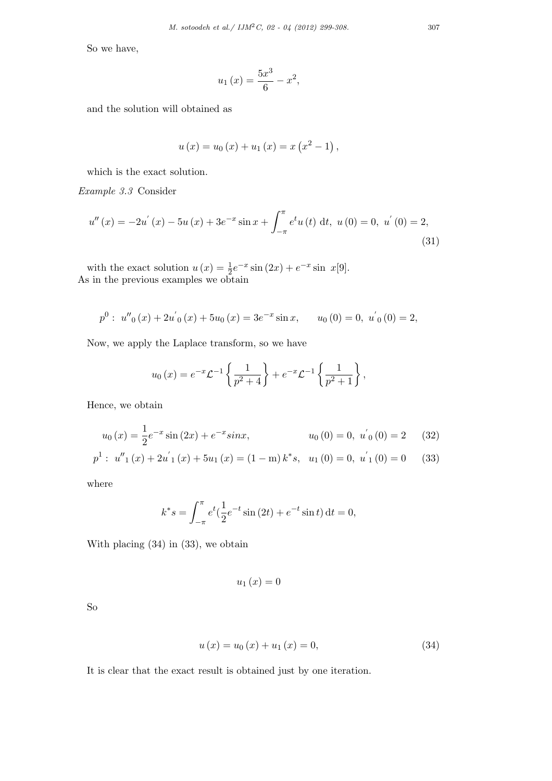So we have,

$$
u_1(x) = \frac{5x^3}{6} - x^2,
$$

and the solution will obtained as

$$
u(x) = u_0(x) + u_1(x) = x(x^2 - 1),
$$

which is the exact solution.

*Example 3.3* Consider

$$
u''(x) = -2u'(x) - 5u(x) + 3e^{-x}\sin x + \int_{-\pi}^{\pi} e^t u(t) dt, \ u(0) = 0, \ u'(0) = 2,
$$
\n(31)

with the exact solution  $u(x) = \frac{1}{2}e^{-x}\sin(2x) + e^{-x}\sin x[9]$ . As in the previous examples we obtain

$$
p^{0}: u''_{0}(x) + 2u'_{0}(x) + 5u_{0}(x) = 3e^{-x}\sin x, \qquad u_{0}(0) = 0, \; u'_{0}(0) = 2,
$$

Now, we apply the Laplace transform*,* so we have

$$
u_0(x) = e^{-x} \mathcal{L}^{-1} \left\{ \frac{1}{p^2 + 4} \right\} + e^{-x} \mathcal{L}^{-1} \left\{ \frac{1}{p^2 + 1} \right\},\,
$$

Hence, we obtain

$$
u_0(x) = \frac{1}{2}e^{-x}\sin(2x) + e^{-x}\sin x, \qquad u_0(0) = 0, \ u'_0(0) = 2 \qquad (32)
$$
  

$$
p^1: u''_1(x) + 2u'_1(x) + 5u_1(x) = (1 - m)k^*s, \ u_1(0) = 0, \ u'_1(0) = 0 \qquad (33)
$$

where

$$
k^*s = \int_{-\pi}^{\pi} e^t \left(\frac{1}{2}e^{-t}\sin(2t) + e^{-t}\sin t\right) dt = 0,
$$

With placing (34) in (33), we obtain

$$
u_1\left(x\right) = 0
$$

So

$$
u(x) = u_0(x) + u_1(x) = 0,
$$
\n(34)

It is clear that the exact result is obtained just by one iteration.